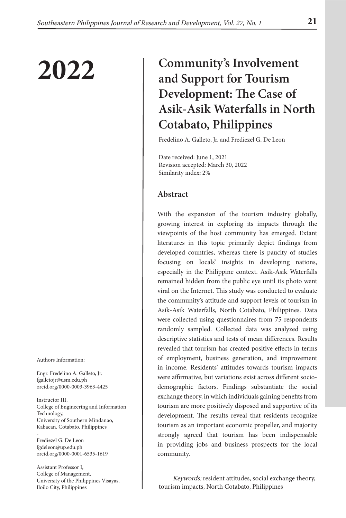Authors Information:

Engr. Fredelino A. Galleto, Jr. fgalletojr@usm.edu.ph orcid.org/0000-0003-3963-4425

Instructor III, College of Engineering and Information Technology, University of Southern Mindanao, Kabacan, Cotabato, Philippines

- Frediezel G. De Leon fgdeleon@up.edu.ph orcid.org/0000-0001-6535-1619

Assistant Professor I, College of Management, University of the Philippines Visayas, Iloilo City, Philippines

# 2022 **Community's Involvement and Support for Tourism Development: The Case of Asik-Asik Waterfalls in North Cotabato, Philippines**

Fredelino A. Galleto, Jr. and Frediezel G. De Leon

Date received: June 1, 2021 Revision accepted: March 30, 2022 Similarity index: 2%

# **Abstract**

With the expansion of the tourism industry globally, growing interest in exploring its impacts through the viewpoints of the host community has emerged. Extant literatures in this topic primarily depict findings from developed countries, whereas there is paucity of studies focusing on locals' insights in developing nations, especially in the Philippine context. Asik-Asik Waterfalls remained hidden from the public eye until its photo went viral on the Internet. This study was conducted to evaluate the community's attitude and support levels of tourism in Asik-Asik Waterfalls, North Cotabato, Philippines. Data were collected using questionnaires from 75 respondents randomly sampled. Collected data was analyzed using descriptive statistics and tests of mean differences. Results revealed that tourism has created positive effects in terms of employment, business generation, and improvement in income. Residents' attitudes towards tourism impacts were affirmative, but variations exist across different sociodemographic factors. Findings substantiate the social exchange theory, in which individuals gaining benefits from tourism are more positively disposed and supportive of its development. The results reveal that residents recognize tourism as an important economic propeller, and majority strongly agreed that tourism has been indispensable in providing jobs and business prospects for the local community.

 Keywords: resident attitudes, social exchange theory, tourism impacts, North Cotabato, Philippines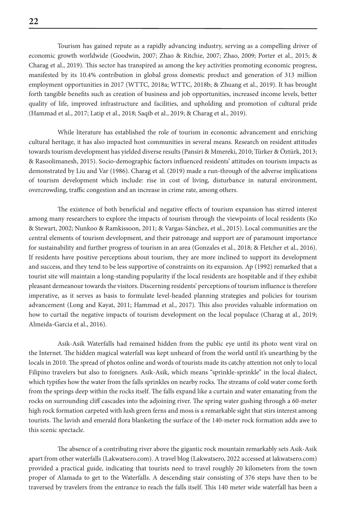**22**

Tourism has gained repute as a rapidly advancing industry, serving as a compelling driver of economic growth worldwide (Goodwin, 2007; Zhao & Ritchie, 2007; Zhao, 2009; Porter et al., 2015; & Charag et al., 2019). This sector has transpired as among the key activities promoting economic progress, manifested by its 10.4% contribution in global gross domestic product and generation of 313 million employment opportunities in 2017 (WTTC, 2018a; WTTC, 2018b; & Zhuang et al., 2019). It has brought forth tangible benefits such as creation of business and job opportunities, increased income levels, better quality of life, improved infrastructure and facilities, and upholding and promotion of cultural pride (Hammad et al., 2017; Latip et al., 2018; Saqib et al., 2019; & Charag et al., 2019).

While literature has established the role of tourism in economic advancement and enriching cultural heritage, it has also impacted host communities in several means. Research on resident attitudes towards tourism development has yielded diverse results (Pansiri & Mmereki, 2010; Türker & Öztürk, 2013; & Rasoolimanesh, 2015). Socio-demographic factors influenced residents' attitudes on tourism impacts as demonstrated by Liu and Var (1986). Charag et al. (2019) made a run-through of the adverse implications of tourism development which include: rise in cost of living, disturbance in natural environment, overcrowding, traffic congestion and an increase in crime rate, among others.

The existence of both beneficial and negative effects of tourism expansion has stirred interest among many researchers to explore the impacts of tourism through the viewpoints of local residents (Ko & Stewart, 2002; Nunkoo & Ramkissoon, 2011; & Vargas-Sánchez, et al., 2015). Local communities are the central elements of tourism development, and their patronage and support are of paramount importance for sustainability and further progress of tourism in an area (Gonzales et al., 2018; & Fletcher et al., 2016). If residents have positive perceptions about tourism, they are more inclined to support its development and success, and they tend to be less supportive of constraints on its expansion. Ap (1992) remarked that a tourist site will maintain a long-standing popularity if the local residents are hospitable and if they exhibit pleasant demeanour towards the visitors. Discerning residents' perceptions of tourism influence is therefore imperative, as it serves as basis to formulate level-headed planning strategies and policies for tourism advancement (Long and Kayat, 2011; Hammad et al., 2017). This also provides valuable information on how to curtail the negative impacts of tourism development on the local populace (Charag at al., 2019; Almeida-Garcia et al., 2016).

Asik-Asik Waterfalls had remained hidden from the public eye until its photo went viral on the Internet. The hidden magical waterfall was kept unheard of from the world until it's unearthing by the locals in 2010. The spread of photos online and words of tourists made its catchy attention not only to local Filipino travelers but also to foreigners. Asik-Asik, which means "sprinkle-sprinkle" in the local dialect, which typifies how the water from the falls sprinkles on nearby rocks. The streams of cold water come forth from the springs deep within the rocks itself. The falls expand like a curtain and water emanating from the rocks on surrounding cliff cascades into the adjoining river. The spring water gushing through a 60-meter high rock formation carpeted with lush green ferns and moss is a remarkable sight that stirs interest among tourists. The lavish and emerald flora blanketing the surface of the 140-meter rock formation adds awe to this scenic spectacle.

The absence of a contributing river above the gigantic rock mountain remarkably sets Asik-Asik apart from other waterfalls (Lakwatsero.com). A travel blog (Lakwatsero, 2022 accessed at lakwatsero.com) provided a practical guide, indicating that tourists need to travel roughly 20 kilometers from the town proper of Alamada to get to the Waterfalls. A descending stair consisting of 376 steps have then to be traversed by travelers from the entrance to reach the falls itself. This 140 meter wide waterfall has been a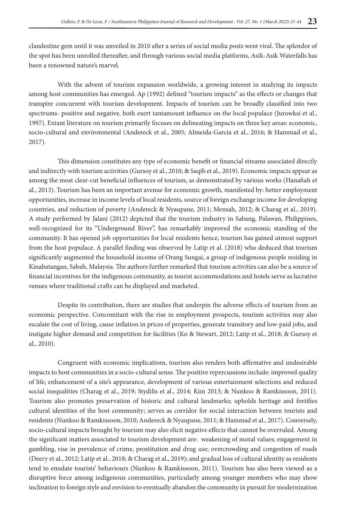clandestine gem until it was unveiled in 2010 after a series of social media posts went viral. The splendor of the spot has been unrolled thereafter, and through various social media platforms, Asik-Asik Waterfalls has been a renowned nature's marvel.

With the advent of tourism expansion worldwide, a growing interest in studying its impacts among host communities has emerged. Ap (1992) defined "tourism impacts" as the effects or changes that transpire concurrent with tourism development. Impacts of tourism can be broadly classified into two spectrums- positive and negative, both exert tantamount influence on the local populace (Jurowksi et al., 1997). Extant literature on tourism primarily focuses on delineating impacts on three key areas: economic, socio-cultural and environmental (Andereck et al., 2005; Almeida-Garcia et al., 2016; & Hammad et al., 2017).

This dimension constitutes any type of economic benefit or financial streams associated directly and indirectly with tourism activities (Gursoy et al., 2010; & Saqib et al., 2019). Economic impacts appear as among the most clear-cut beneficial influences of tourism, as demonstrated by various works (Hanafiah et al., 2013). Tourism has been an important avenue for economic growth, manifested by: better employment opportunities, increase in income levels of local residents, source of foreign exchange income for developing countries, and reduction of poverty (Andereck & Nyaupane, 2011; Mensah, 2012; & Charag et al., 2019). A study performed by Jalani (2012) depicted that the tourism industry in Sabang, Palawan, Philippines, well-recognized for its "Underground River", has remarkably improved the economic standing of the community. It has opened job opportunities for local residents hence, tourism has gained utmost support from the host populace. A parallel finding was observed by Latip et al. (2018) who deduced that tourism significantly augmented the household income of Orang Sungai, a group of indigenous people residing in Kinabatangan, Sabah, Malaysia. The authors further remarked that tourism activities can also be a source of financial incentives for the indigenous community, as tourist accommodations and hotels serve as lucrative venues where traditional crafts can be displayed and marketed.

Despite its contribution, there are studies that underpin the adverse effects of tourism from an economic perspective. Concomitant with the rise in employment prospects, tourism activities may also escalate the cost of living, cause inflation in prices of properties, generate transitory and low-paid jobs, and instigate higher demand and competition for facilities (Ko & Stewart, 2012; Latip et al., 2018; & Gursoy et al., 2010).

Congruent with economic implications, tourism also renders both affirmative and undesirable impacts to host communities in a socio-cultural sense. The positive repercussions include: improved quality of life, enhancement of a site's appearance, development of various entertainment selections and reduced social inequalities (Charag et al., 2019; Stydilis et al., 2014; Kim 2013; & Nunkoo & Ramkissoon, 2011). Tourism also promotes preservation of historic and cultural landmarks; upholds heritage and fortifies cultural identities of the host community; serves as corridor for social interaction between tourists and residents (Nunkoo & Ramkissoon, 2010; Andereck & Nyaupane, 2011; & Hammad et al., 2017). Conversely, socio-cultural impacts brought by tourism may also elicit negative effects that cannot be overruled. Among the significant matters associated to tourism development are: weakening of moral values; engagement in gambling, rise in prevalence of crime, prostitution and drug use; overcrowding and congestion of roads (Deery et al., 2012; Latip et al., 2018; & Charag et al., 2019); and gradual loss of cultural identity as residents tend to emulate tourists' behaviours (Nunkoo & Ramkissoon, 2011). Tourism has also been viewed as a disruptive force among indigenous communities, particularly among younger members who may show inclination to foreign style and envision to eventually abandon the community in pursuit for modernization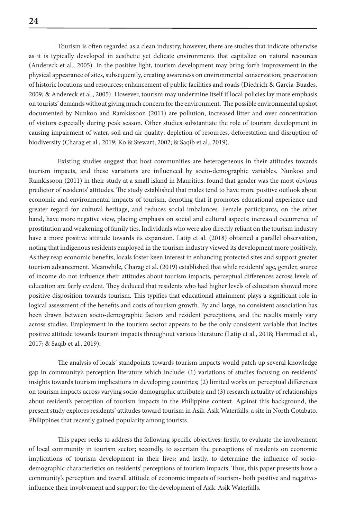Tourism is often regarded as a clean industry, however, there are studies that indicate otherwise as it is typically developed in aesthetic yet delicate environments that capitalize on natural resources (Andereck et al., 2005). In the positive light, tourism development may bring forth improvement in the physical appearance of sites, subsequently, creating awareness on environmental conservation; preservation of historic locations and resources; enhancement of public facilities and roads (Diedrich & Garcia-Buades, 2009; & Andereck et al., 2005). However, tourism may undermine itself if local policies lay more emphasis on tourists' demands without giving much concern for the environment. The possible environmental upshot documented by Nunkoo and Ramkissoon (2011) are pollution, increased litter and over concentration of visitors especially during peak season. Other studies substantiate the role of tourism development in causing impairment of water, soil and air quality; depletion of resources, deforestation and disruption of biodiversity (Charag et al., 2019; Ko & Stewart, 2002; & Saqib et al., 2019).

Existing studies suggest that host communities are heterogeneous in their attitudes towards tourism impacts, and these variations are influenced by socio-demographic variables. Nunkoo and Ramkissoon (2011) in their study at a small island in Mauritius, found that gender was the most obvious predictor of residents' attitudes. The study established that males tend to have more positive outlook about economic and environmental impacts of tourism, denoting that it promotes educational experience and greater regard for cultural heritage, and reduces social imbalances. Female participants, on the other hand, have more negative view, placing emphasis on social and cultural aspects: increased occurrence of prostitution and weakening of family ties. Individuals who were also directly reliant on the tourism industry have a more positive attitude towards its expansion. Latip et al. (2018) obtained a parallel observation, noting that indigenous residents employed in the tourism industry viewed its development more positively. As they reap economic benefits, locals foster keen interest in enhancing protected sites and support greater tourism advancement. Meanwhile, Charag et al. (2019) established that while residents' age, gender, source of income do not influence their attitudes about tourism impacts, perceptual differences across levels of education are fairly evident. They deduced that residents who had higher levels of education showed more positive disposition towards tourism. This typifies that educational attainment plays a significant role in logical assessment of the benefits and costs of tourism growth. By and large, no consistent association has been drawn between socio-demographic factors and resident perceptions, and the results mainly vary across studies. Employment in the tourism sector appears to be the only consistent variable that incites positive attitude towards tourism impacts throughout various literature (Latip et al., 2018; Hammad et al., 2017; & Saqib et al., 2019).

The analysis of locals' standpoints towards tourism impacts would patch up several knowledge gap in community's perception literature which include: (1) variations of studies focusing on residents' insights towards tourism implications in developing countries; (2) limited works on perceptual differences on tourism impacts across varying socio-demographic attributes; and (3) research actuality of relationships about resident's perception of tourism impacts in the Philippine context. Against this background, the present study explores residents' attitudes toward tourism in Asik-Asik Waterfalls, a site in North Cotabato, Philippines that recently gained popularity among tourists.

This paper seeks to address the following specific objectives: firstly, to evaluate the involvement of local community in tourism sector; secondly, to ascertain the perceptions of residents on economic implications of tourism development in their lives; and lastly, to determine the influence of sociodemographic characteristics on residents' perceptions of tourism impacts. Thus, this paper presents how a community's perception and overall attitude of economic impacts of tourism- both positive and negativeinfluence their involvement and support for the development of Asik-Asik Waterfalls.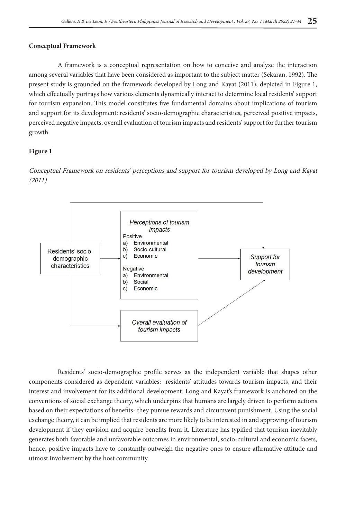### **Conceptual Framework**

A framework is a conceptual representation on how to conceive and analyze the interaction among several variables that have been considered as important to the subject matter (Sekaran, 1992). The present study is grounded on the framework developed by Long and Kayat (2011), depicted in Figure 1, which effectually portrays how various elements dynamically interact to determine local residents' support for tourism expansion. This model constitutes five fundamental domains about implications of tourism and support for its development: residents' socio-demographic characteristics, perceived positive impacts, perceived negative impacts, overall evaluation of tourism impacts and residents' support for further tourism growth.

# **Figure 1**

Conceptual Framework on residents' perceptions and support for tourism developed by Long and Kayat (2011)



Residents' socio-demographic profile serves as the independent variable that shapes other components considered as dependent variables: residents' attitudes towards tourism impacts, and their interest and involvement for its additional development. Long and Kayat's framework is anchored on the conventions of social exchange theory, which underpins that humans are largely driven to perform actions based on their expectations of benefits- they pursue rewards and circumvent punishment. Using the social exchange theory, it can be implied that residents are more likely to be interested in and approving of tourism development if they envision and acquire benefits from it. Literature has typified that tourism inevitably generates both favorable and unfavorable outcomes in environmental, socio-cultural and economic facets, hence, positive impacts have to constantly outweigh the negative ones to ensure affirmative attitude and utmost involvement by the host community.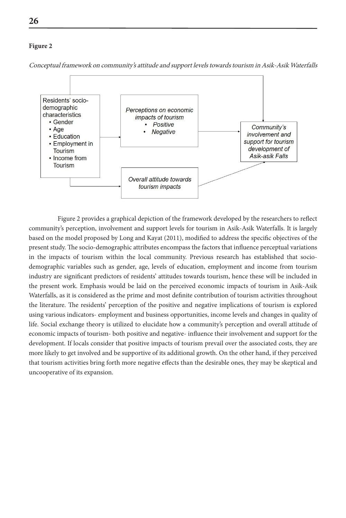#### **Figure 2**



Conceptual framework on community's attitude and support levels towards tourism in Asik-Asik Waterfalls

Figure 2 provides a graphical depiction of the framework developed by the researchers to reflect community's perception, involvement and support levels for tourism in Asik-Asik Waterfalls. It is largely based on the model proposed by Long and Kayat (2011), modified to address the specific objectives of the present study. The socio-demographic attributes encompass the factors that influence perceptual variations in the impacts of tourism within the local community. Previous research has established that sociodemographic variables such as gender, age, levels of education, employment and income from tourism industry are significant predictors of residents' attitudes towards tourism, hence these will be included in the present work. Emphasis would be laid on the perceived economic impacts of tourism in Asik-Asik Waterfalls, as it is considered as the prime and most definite contribution of tourism activities throughout the literature. The residents' perception of the positive and negative implications of tourism is explored using various indicators- employment and business opportunities, income levels and changes in quality of life. Social exchange theory is utilized to elucidate how a community's perception and overall attitude of economic impacts of tourism- both positive and negative- influence their involvement and support for the development. If locals consider that positive impacts of tourism prevail over the associated costs, they are more likely to get involved and be supportive of its additional growth. On the other hand, if they perceived that tourism activities bring forth more negative effects than the desirable ones, they may be skeptical and uncooperative of its expansion.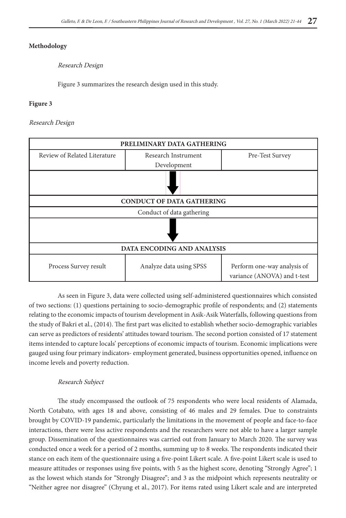### **Methodology**

Research Design

Figure 3 summarizes the research design used in this study.

#### **Figure 3**

#### Research Design

| PRELIMINARY DATA GATHERING        |                                  |                                                            |  |  |  |  |  |
|-----------------------------------|----------------------------------|------------------------------------------------------------|--|--|--|--|--|
| Review of Related Literature      | Research Instrument              | Pre-Test Survey                                            |  |  |  |  |  |
|                                   | Development                      |                                                            |  |  |  |  |  |
|                                   |                                  |                                                            |  |  |  |  |  |
|                                   | <b>CONDUCT OF DATA GATHERING</b> |                                                            |  |  |  |  |  |
|                                   | Conduct of data gathering        |                                                            |  |  |  |  |  |
|                                   |                                  |                                                            |  |  |  |  |  |
| <b>DATA ENCODING AND ANALYSIS</b> |                                  |                                                            |  |  |  |  |  |
| Process Survey result             | Analyze data using SPSS          | Perform one-way analysis of<br>variance (ANOVA) and t-test |  |  |  |  |  |

As seen in Figure 3, data were collected using self-administered questionnaires which consisted of two sections: (1) questions pertaining to socio-demographic profile of respondents; and (2) statements relating to the economic impacts of tourism development in Asik-Asik Waterfalls, following questions from the study of Bakri et al., (2014). The first part was elicited to establish whether socio-demographic variables can serve as predictors of residents' attitudes toward tourism. The second portion consisted of 17 statement items intended to capture locals' perceptions of economic impacts of tourism. Economic implications were gauged using four primary indicators- employment generated, business opportunities opened, influence on income levels and poverty reduction.

#### Research Subject

The study encompassed the outlook of 75 respondents who were local residents of Alamada, North Cotabato, with ages 18 and above, consisting of 46 males and 29 females. Due to constraints brought by COVID-19 pandemic, particularly the limitations in the movement of people and face-to-face interactions, there were less active respondents and the researchers were not able to have a larger sample group. Dissemination of the questionnaires was carried out from January to March 2020. The survey was conducted once a week for a period of 2 months, summing up to 8 weeks. The respondents indicated their stance on each item of the questionnaire using a five-point Likert scale. A five-point Likert scale is used to measure attitudes or responses using five points, with 5 as the highest score, denoting "Strongly Agree"; 1 as the lowest which stands for "Strongly Disagree"; and 3 as the midpoint which represents neutrality or "Neither agree nor disagree" (Chyung et al., 2017). For items rated using Likert scale and are interpreted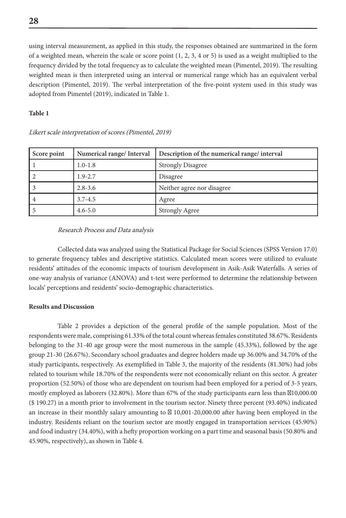using interval measurement, as applied in this study, the responses obtained are summarized in the form of a weighted mean, wherein the scale or score point (1, 2, 3, 4 or 5) is used as a weight multiplied to the frequency divided by the total frequency as to calculate the weighted mean (Pimentel, 2019). The resulting weighted mean is then interpreted using an interval or numerical range which has an equivalent verbal description (Pimentel, 2019). The verbal interpretation of the five-point system used in this study was adopted from Pimentel (2019), indicated in Table 1.

#### **Table 1**

| Score point | Numerical range/Interval | Description of the numerical range/ interval |
|-------------|--------------------------|----------------------------------------------|
|             | $1.0 - 1.8$              | <b>Strongly Disagree</b>                     |
|             | $1.9 - 2.7$              | Disagree                                     |
|             | $2.8 - 3.6$              | Neither agree nor disagree                   |
|             | $3.7 - 4.5$              | Agree                                        |
|             | $4.6 - 5.0$              | <b>Strongly Agree</b>                        |

#### Likert scale interpretation of scores (Pimentel, 2019)

#### Research Process and Data analysis

Collected data was analyzed using the Statistical Package for Social Sciences (SPSS Version 17.0) to generate frequency tables and descriptive statistics. Calculated mean scores were utilized to evaluate residents' attitudes of the economic impacts of tourism development in Asik-Asik Waterfalls. A series of one-way analysis of variance (ANOVA) and t-test were performed to determine the relationship between locals' perceptions and residents' socio-demographic characteristics.

#### **Results and Discussion**

Table 2 provides a depiction of the general profile of the sample population. Most of the respondents were male, comprising 61.33% of the total count whereas females constituted 38.67%. Residents belonging to the 31-40 age group were the most numerous in the sample (45.33%), followed by the age group 21-30 (26.67%). Secondary school graduates and degree holders made up 36.00% and 34.70% of the study participants, respectively. As exemplified in Table 3, the majority of the residents (81.30%) had jobs related to tourism while 18.70% of the respondents were not economically reliant on this sector. A greater proportion (52.50%) of those who are dependent on tourism had been employed for a period of 3-5 years, mostly employed as laborers  $(32.80\%)$ . More than 67% of the study participants earn less than  $10,000.00$ (\$ 190.27) in a month prior to involvement in the tourism sector. Ninety three percent (93.40%) indicated an increase in their monthly salary amounting to 10,001-20,000.00 after having been employed in the industry. Residents reliant on the tourism sector are mostly engaged in transportation services (45.90%) and food industry (34.40%), with a hefty proportion working on a part time and seasonal basis (50.80% and 45.90%, respectively), as shown in Table 4.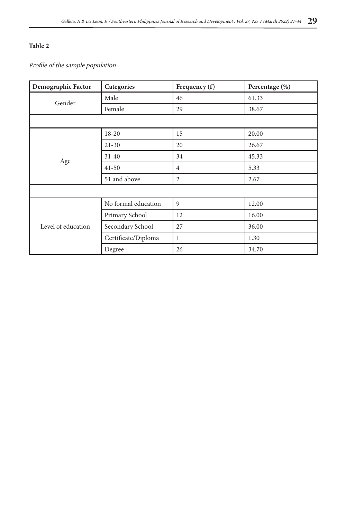Profile of the sample population

| Demographic Factor                                                                                                         | Categories          | Frequency (f)  | Percentage (%) |
|----------------------------------------------------------------------------------------------------------------------------|---------------------|----------------|----------------|
|                                                                                                                            | Male                | 46             | 61.33          |
|                                                                                                                            | Female              | 29             | 38.67          |
|                                                                                                                            |                     |                |                |
|                                                                                                                            | $18 - 20$           | 15             | 20.00          |
|                                                                                                                            | $21 - 30$           | 20             | 26.67          |
|                                                                                                                            | $31 - 40$           | 34             | 45.33          |
|                                                                                                                            | $41 - 50$           | $\overline{4}$ | 5.33           |
| Gender<br>Age<br>51 and above<br>Primary School<br>Level of education<br>Secondary School<br>Certificate/Diploma<br>Degree |                     | 2              | 2.67           |
|                                                                                                                            |                     |                |                |
|                                                                                                                            | No formal education | 9              | 12.00          |
|                                                                                                                            |                     | 12             | 16.00          |
|                                                                                                                            |                     | 27             | 36.00          |
|                                                                                                                            |                     | 1              | 1.30           |
|                                                                                                                            |                     | 26             | 34.70          |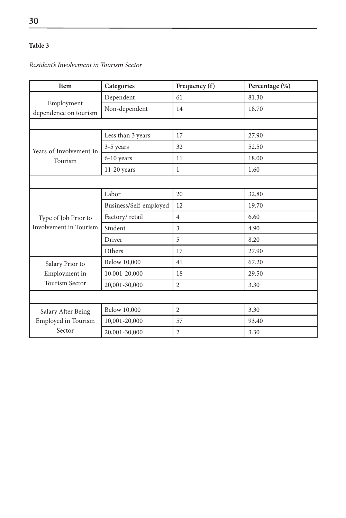Resident's Involvement in Tourism Sector

| <b>Item</b>                         | Categories             | Frequency (f)  | Percentage (%) |
|-------------------------------------|------------------------|----------------|----------------|
|                                     | Dependent              | 61             | 81.30          |
| Employment<br>dependence on tourism | Non-dependent          | 14             | 18.70          |
|                                     |                        |                |                |
|                                     | Less than 3 years      | 17             | 27.90          |
| Years of Involvement in             | 3-5 years              | 32             | 52.50          |
| Tourism                             | 6-10 years             | 11             | 18.00          |
|                                     | $11-20$ years          | $\mathbf{1}$   | 1.60           |
|                                     |                        |                |                |
|                                     | Labor                  | 20             | 32.80          |
|                                     | Business/Self-employed | 12             | 19.70          |
| Type of Job Prior to                | Factory/retail         | $\overline{4}$ | 6.60           |
| <b>Involvement</b> in Tourism       | Student                | $\overline{3}$ | 4.90           |
|                                     | Driver                 | 5              | 8.20           |
|                                     | Others                 | 17             | 27.90          |
| Salary Prior to                     | Below 10,000           | 41             | 67.20          |
| Employment in                       | 10,001-20,000          | 18             | 29.50          |
| <b>Tourism Sector</b>               | 20,001-30,000          | $\overline{2}$ | 3.30           |
|                                     |                        |                |                |
| Salary After Being                  | <b>Below 10,000</b>    | $\overline{2}$ | 3.30           |
| Employed in Tourism                 | 10,001-20,000          | 57             | 93.40          |
| Sector                              | 20,001-30,000          | $\overline{2}$ | 3.30           |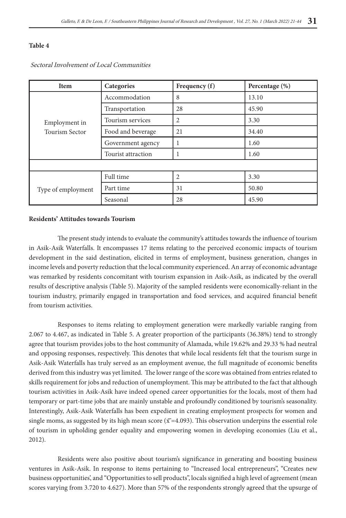| <b>Item</b>                                                                                                                                                                                              | Categories     | Frequency (f)  | Percentage $(\%)$ |
|----------------------------------------------------------------------------------------------------------------------------------------------------------------------------------------------------------|----------------|----------------|-------------------|
|                                                                                                                                                                                                          | Accommodation  | 8              | 13.10             |
| Transportation<br>Tourism services<br>Employment in<br>Food and beverage<br><b>Tourism Sector</b><br>Government agency<br>Tourist attraction<br>Full time<br>Part time<br>Type of employment<br>Seasonal |                | 28             | 45.90             |
|                                                                                                                                                                                                          | $\overline{2}$ | 3.30           |                   |
|                                                                                                                                                                                                          |                | 21             | 34.40             |
|                                                                                                                                                                                                          |                |                | 1.60              |
|                                                                                                                                                                                                          |                |                | 1.60              |
|                                                                                                                                                                                                          |                |                |                   |
|                                                                                                                                                                                                          |                | $\overline{c}$ | 3.30              |
|                                                                                                                                                                                                          |                | 31             | 50.80             |
|                                                                                                                                                                                                          |                | 28             | 45.90             |

Sectoral Involvement of Local Communities

#### **Residents' Attitudes towards Tourism**

The present study intends to evaluate the community's attitudes towards the influence of tourism in Asik-Asik Waterfalls. It encompasses 17 items relating to the perceived economic impacts of tourism development in the said destination, elicited in terms of employment, business generation, changes in income levels and poverty reduction that the local community experienced. An array of economic advantage was remarked by residents concomitant with tourism expansion in Asik-Asik, as indicated by the overall results of descriptive analysis (Table 5). Majority of the sampled residents were economically-reliant in the tourism industry, primarily engaged in transportation and food services, and acquired financial benefit from tourism activities.

Responses to items relating to employment generation were markedly variable ranging from 2.067 to 4.467, as indicated in Table 5. A greater proportion of the participants (36.38%) tend to strongly agree that tourism provides jobs to the host community of Alamada, while 19.62% and 29.33 % had neutral and opposing responses, respectively. This denotes that while local residents felt that the tourism surge in Asik-Asik Waterfalls has truly served as an employment avenue, the full magnitude of economic benefits derived from this industry was yet limited. The lower range of the score was obtained from entries related to skills requirement for jobs and reduction of unemployment. This may be attributed to the fact that although tourism activities in Asik-Asik have indeed opened career opportunities for the locals, most of them had temporary or part-time jobs that are mainly unstable and profoundly conditioned by tourism's seasonality. Interestingly, Asik-Asik Waterfalls has been expedient in creating employment prospects for women and single moms, as suggested by its high mean score  $(\bar{x} = 4.093)$ . This observation underpins the essential role of tourism in upholding gender equality and empowering women in developing economies (Liu et al., 2012).

Residents were also positive about tourism's significance in generating and boosting business ventures in Asik-Asik. In response to items pertaining to "Increased local entrepreneurs", "Creates new business opportunities', and "Opportunities to sell products", locals signified a high level of agreement (mean scores varying from 3.720 to 4.627). More than 57% of the respondents strongly agreed that the upsurge of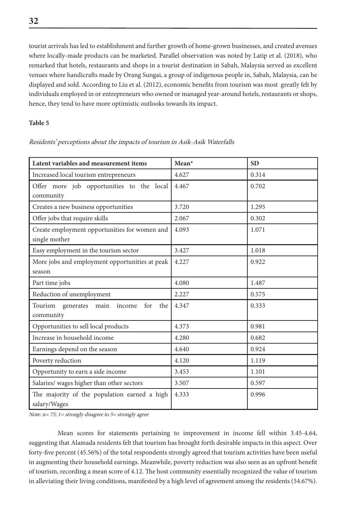tourist arrivals has led to establishment and further growth of home-grown businesses, and created avenues where locally-made products can be marketed. Parallel observation was noted by Latip et al. (2018), who remarked that hotels, restaurants and shops in a tourist destination in Sabah, Malaysia served as excellent venues where handicrafts made by Orang Sungai, a group of indigenous people in, Sabah, Malaysia, can be displayed and sold. According to Liu et al. (2012), economic benefits from tourism was most greatly felt by individuals employed in or entrepreneurs who owned or managed year-around hotels, restaurants or shops, hence, they tend to have more optimistic outlooks towards its impact.

#### **Table 5**

| Latent variables and measurement items                         | Mean* | <b>SD</b> |
|----------------------------------------------------------------|-------|-----------|
| Increased local tourism entrepreneurs                          | 4.627 | 0.314     |
| Offer more job opportunities to the local<br>community         | 4.467 | 0.702     |
| Creates a new business opportunities                           | 3.720 | 1.295     |
| Offer jobs that require skills                                 | 2.067 | 0.302     |
| Create employment opportunities for women and<br>single mother | 4.093 | 1.071     |
| Easy employment in the tourism sector                          | 3.427 | 1.018     |
| More jobs and employment opportunities at peak<br>season       | 4.227 | 0.922     |
| Part time jobs                                                 | 4.080 | 1.487     |
| Reduction of unemployment                                      | 2.227 | 0.575     |
| Tourism generates main<br>the I<br>income<br>for<br>community  | 4.347 | 0.333     |
| Opportunities to sell local products                           | 4.373 | 0.981     |
| Increase in household income                                   | 4.280 | 0.682     |
| Earnings depend on the season                                  | 4.640 | 0.924     |
| Poverty reduction                                              | 4.120 | 1.119     |
| Opportunity to earn a side income                              | 3.453 | 1.101     |
| Salaries/ wages higher than other sectors                      | 3.507 | 0.597     |
| The majority of the population earned a high<br>salary/Wages   | 4.333 | 0.996     |

Residents' perceptions about the impacts of tourism in Asik-Asik Waterfalls

Note: n= 75; 1= strongly disagree to 5= strongly agree

Mean scores for statements pertaining to improvement in income fell within 3.45-4.64, suggesting that Alamada residents felt that tourism has brought forth desirable impacts in this aspect. Over forty-five percent (45.56%) of the total respondents strongly agreed that tourism activities have been useful in augmenting their household earnings. Meanwhile, poverty reduction was also seen as an upfront benefit of tourism, recording a mean score of 4.12. The host community essentially recognized the value of tourism in alleviating their living conditions, manifested by a high level of agreement among the residents (54.67%).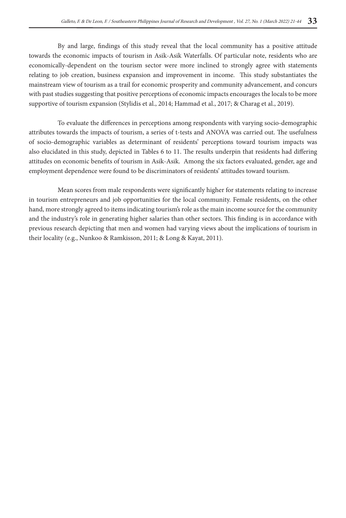By and large, findings of this study reveal that the local community has a positive attitude towards the economic impacts of tourism in Asik-Asik Waterfalls. Of particular note, residents who are economically-dependent on the tourism sector were more inclined to strongly agree with statements relating to job creation, business expansion and improvement in income. This study substantiates the mainstream view of tourism as a trail for economic prosperity and community advancement, and concurs with past studies suggesting that positive perceptions of economic impacts encourages the locals to be more supportive of tourism expansion (Stylidis et al., 2014; Hammad et al., 2017; & Charag et al., 2019).

To evaluate the differences in perceptions among respondents with varying socio-demographic attributes towards the impacts of tourism, a series of t-tests and ANOVA was carried out. The usefulness of socio-demographic variables as determinant of residents' perceptions toward tourism impacts was also elucidated in this study, depicted in Tables 6 to 11. The results underpin that residents had differing attitudes on economic benefits of tourism in Asik-Asik. Among the six factors evaluated, gender, age and employment dependence were found to be discriminators of residents' attitudes toward tourism.

Mean scores from male respondents were significantly higher for statements relating to increase in tourism entrepreneurs and job opportunities for the local community. Female residents, on the other hand, more strongly agreed to items indicating tourism's role as the main income source for the community and the industry's role in generating higher salaries than other sectors. This finding is in accordance with previous research depicting that men and women had varying views about the implications of tourism in their locality (e.g., Nunkoo & Ramkisson, 2011; & Long & Kayat, 2011).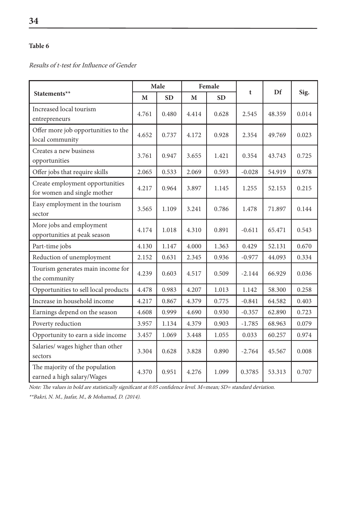Results of t-test for Influence of Gender

|                                                                | Male  |           | Female |           |          |        |       |
|----------------------------------------------------------------|-------|-----------|--------|-----------|----------|--------|-------|
| Statements**                                                   | M     | <b>SD</b> | M      | <b>SD</b> | t        | Df     | Sig.  |
| Increased local tourism<br>entrepreneurs                       | 4.761 | 0.480     | 4.414  | 0.628     | 2.545    | 48.359 | 0.014 |
| Offer more job opportunities to the<br>local community         | 4.652 | 0.737     | 4.172  | 0.928     | 2.354    | 49.769 | 0.023 |
| Creates a new business<br>opportunities                        | 3.761 | 0.947     | 3.655  | 1.421     | 0.354    | 43.743 | 0.725 |
| Offer jobs that require skills                                 | 2.065 | 0.533     | 2.069  | 0.593     | $-0.028$ | 54.919 | 0.978 |
| Create employment opportunities<br>for women and single mother | 4.217 | 0.964     | 3.897  | 1.145     | 1.255    | 52.153 | 0.215 |
| Easy employment in the tourism<br>sector                       | 3.565 | 1.109     | 3.241  | 0.786     | 1.478    | 71.897 | 0.144 |
| More jobs and employment<br>opportunities at peak season       | 4.174 | 1.018     | 4.310  | 0.891     | $-0.611$ | 65.471 | 0.543 |
| Part-time jobs                                                 | 4.130 | 1.147     | 4.000  | 1.363     | 0.429    | 52.131 | 0.670 |
| Reduction of unemployment                                      | 2.152 | 0.631     | 2.345  | 0.936     | $-0.977$ | 44.093 | 0.334 |
| Tourism generates main income for<br>the community             | 4.239 | 0.603     | 4.517  | 0.509     | $-2.144$ | 66.929 | 0.036 |
| Opportunities to sell local products                           | 4.478 | 0.983     | 4.207  | 1.013     | 1.142    | 58.300 | 0.258 |
| Increase in household income                                   | 4.217 | 0.867     | 4.379  | 0.775     | $-0.841$ | 64.582 | 0.403 |
| Earnings depend on the season                                  | 4.608 | 0.999     | 4.690  | 0.930     | $-0.357$ | 62.890 | 0.723 |
| Poverty reduction                                              | 3.957 | 1.134     | 4.379  | 0.903     | $-1.785$ | 68.963 | 0.079 |
| Opportunity to earn a side income                              | 3.457 | 1.069     | 3.448  | 1.055     | 0.033    | 60.257 | 0.974 |
| Salaries/ wages higher than other<br>sectors                   | 3.304 | 0.628     | 3.828  | 0.890     | $-2.764$ | 45.567 | 0.008 |
| The majority of the population<br>earned a high salary/Wages   | 4.370 | 0.951     | 4.276  | 1.099     | 0.3785   | 53.313 | 0.707 |

Note: The values in bold are statistically significant at 0.05 confidence level. M=mean; SD= standard deviation.

\*\*Bakri, N. M., Jaafar, M., & Mohamad, D. (2014).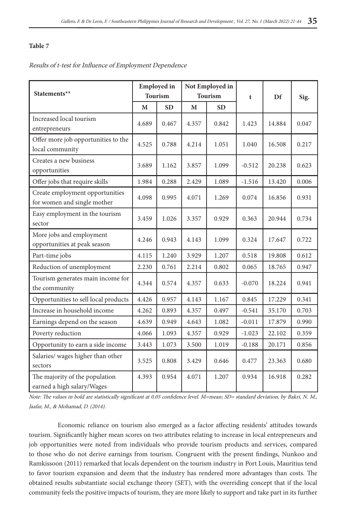#### Results of t-test for Influence of Employment Dependence

| Statements**                                                   |       | <b>Employed</b> in<br><b>Tourism</b> | Not Employed in<br><b>Tourism</b> |           | t        | Df     | Sig.  |
|----------------------------------------------------------------|-------|--------------------------------------|-----------------------------------|-----------|----------|--------|-------|
|                                                                | M     | <b>SD</b>                            | M                                 | <b>SD</b> |          |        |       |
| Increased local tourism<br>entrepreneurs                       | 4.689 | 0.467                                | 4.357                             | 0.842     | 1.423    | 14.884 | 0.047 |
| Offer more job opportunities to the<br>local community         | 4.525 | 0.788                                | 4.214                             | 1.051     | 1.040    | 16.508 | 0.217 |
| Creates a new business<br>opportunities                        | 3.689 | 1.162                                | 3.857                             | 1.099     | $-0.512$ | 20.238 | 0.623 |
| Offer jobs that require skills                                 | 1.984 | 0.288                                | 2.429                             | 1.089     | $-1.516$ | 13.420 | 0.006 |
| Create employment opportunities<br>for women and single mother | 4.098 | 0.995                                | 4.071                             | 1.269     | 0.074    | 16.856 | 0.931 |
| Easy employment in the tourism<br>sector                       | 3.459 | 1.026                                | 3.357                             | 0.929     | 0.363    | 20.944 | 0.734 |
| More jobs and employment<br>opportunities at peak season       | 4.246 | 0.943                                | 4.143                             | 1.099     | 0.324    | 17.647 | 0.722 |
| Part-time jobs                                                 | 4.115 | 1.240                                | 3.929                             | 1.207     | 0.518    | 19.808 | 0.612 |
| Reduction of unemployment                                      | 2.230 | 0.761                                | 2.214                             | 0.802     | 0.065    | 18.765 | 0.947 |
| Tourism generates main income for<br>the community             | 4.344 | 0.574                                | 4.357                             | 0.633     | $-0.070$ | 18.224 | 0.941 |
| Opportunities to sell local products                           | 4.426 | 0.957                                | 4.143                             | 1.167     | 0.845    | 17.229 | 0.341 |
| Increase in household income                                   | 4.262 | 0.893                                | 4.357                             | 0.497     | $-0.541$ | 35.170 | 0.703 |
| Earnings depend on the season                                  | 4.639 | 0.949                                | 4.643                             | 1.082     | $-0.011$ | 17.879 | 0.990 |
| Poverty reduction                                              | 4.066 | 1.093                                | 4.357                             | 0.929     | $-1.023$ | 22.102 | 0.359 |
| Opportunity to earn a side income                              | 3.443 | 1.073                                | 3.500                             | 1.019     | $-0.188$ | 20.171 | 0.856 |
| Salaries/ wages higher than other<br>sectors                   | 3.525 | 0.808                                | 3.429                             | 0.646     | 0.477    | 23.363 | 0.680 |
| The majority of the population<br>earned a high salary/Wages   | 4.393 | 0.954                                | 4.071                             | 1.207     | 0.934    | 16.918 | 0.282 |

Note: The values in bold are statistically significant at 0.05 confidence level. M=mean; SD= standard deviation, by Bakri, N. M., Jaafar, M., & Mohamad, D. (2014).

Economic reliance on tourism also emerged as a factor affecting residents' attitudes towards tourism. Significantly higher mean scores on two attributes relating to increase in local entrepreneurs and job opportunities were noted from individuals who provide tourism products and services, compared to those who do not derive earnings from tourism. Congruent with the present findings, Nunkoo and Ramkissoon (2011) remarked that locals dependent on the tourism industry in Port Louis, Mauritius tend to favor tourism expansion and deem that the industry has rendered more advantages than costs. The obtained results substantiate social exchange theory (SET), with the overriding concept that if the local community feels the positive impacts of tourism, they are more likely to support and take part in its further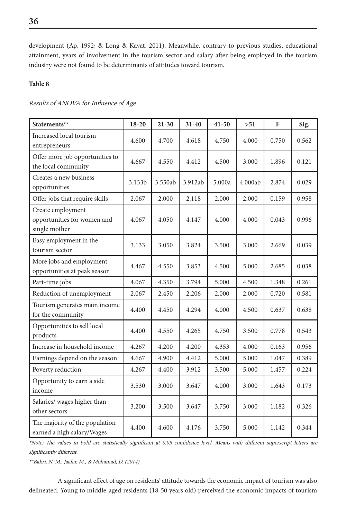development (Ap, 1992; & Long & Kayat, 2011). Meanwhile, contrary to previous studies, educational attainment, years of involvement in the tourism sector and salary after being employed in the tourism industry were not found to be determinants of attitudes toward tourism.

## **Table 8**

#### Results of ANOVA for Influence of Age

| Statements**                                                      | $18 - 20$ | $21 - 30$ | 31-40   | $41 - 50$ | >51     | F     | Sig.  |
|-------------------------------------------------------------------|-----------|-----------|---------|-----------|---------|-------|-------|
| Increased local tourism<br>entrepreneurs                          | 4.600     | 4.700     | 4.618   | 4.750     | 4.000   | 0.750 | 0.562 |
| Offer more job opportunities to<br>the local community            | 4.667     | 4.550     | 4.412   | 4.500     | 3.000   | 1.896 | 0.121 |
| Creates a new business<br>opportunities                           | 3.133b    | 3.550ab   | 3.912ab | 5.000a    | 4.000ab | 2.874 | 0.029 |
| Offer jobs that require skills                                    | 2.067     | 2.000     | 2.118   | 2.000     | 2.000   | 0.159 | 0.958 |
| Create employment<br>opportunities for women and<br>single mother | 4.067     | 4.050     | 4.147   | 4.000     | 4.000   | 0.043 | 0.996 |
| Easy employment in the<br>tourism sector                          | 3.133     | 3.050     | 3.824   | 3.500     | 3.000   | 2.669 | 0.039 |
| More jobs and employment<br>opportunities at peak season          | 4.467     | 4.550     | 3.853   | 4.500     | 5.000   | 2.685 | 0.038 |
| Part-time jobs                                                    | 4.067     | 4.350     | 3.794   | 5.000     | 4.500   | 1.348 | 0.261 |
| Reduction of unemployment                                         | 2.067     | 2.450     | 2.206   | 2.000     | 2.000   | 0.720 | 0.581 |
| Tourism generates main income<br>for the community                | 4.400     | 4.450     | 4.294   | 4.000     | 4.500   | 0.637 | 0.638 |
| Opportunities to sell local<br>products                           | 4.400     | 4.550     | 4.265   | 4.750     | 3.500   | 0.778 | 0.543 |
| Increase in household income                                      | 4.267     | 4.200     | 4.200   | 4.353     | 4.000   | 0.163 | 0.956 |
| Earnings depend on the season                                     | 4.667     | 4.900     | 4.412   | 5.000     | 5.000   | 1.047 | 0.389 |
| Poverty reduction                                                 | 4.267     | 4.400     | 3.912   | 3.500     | 5.000   | 1.457 | 0.224 |
| Opportunity to earn a side<br>income                              | 3.530     | 3.000     | 3.647   | 4.000     | 3.000   | 1.643 | 0.173 |
| Salaries/ wages higher than<br>other sectors                      | 3.200     | 3.500     | 3.647   | 3.750     | 3.000   | 1.182 | 0.326 |
| The majority of the population<br>earned a high salary/Wages      | 4.400     | 4.600     | 4.176   | 3.750     | 5.000   | 1.142 | 0.344 |

\*Note: The values in bold are statistically significant at 0.05 confidence level. Means with different superscript letters are significantly different.

\*\*Bakri, N. M., Jaafar, M., & Mohamad, D. (2014)

A significant effect of age on residents' attitude towards the economic impact of tourism was also delineated. Young to middle-aged residents (18-50 years old) perceived the economic impacts of tourism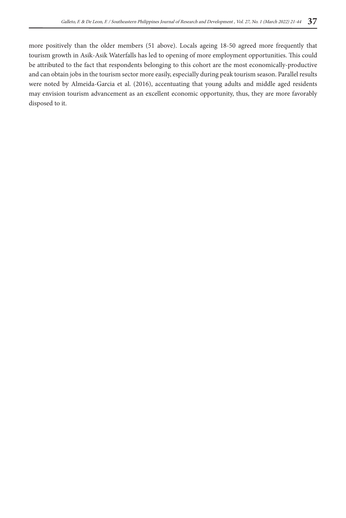more positively than the older members (51 above). Locals ageing 18-50 agreed more frequently that tourism growth in Asik-Asik Waterfalls has led to opening of more employment opportunities. This could be attributed to the fact that respondents belonging to this cohort are the most economically-productive and can obtain jobs in the tourism sector more easily, especially during peak tourism season. Parallel results were noted by Almeida-Garcia et al. (2016), accentuating that young adults and middle aged residents may envision tourism advancement as an excellent economic opportunity, thus, they are more favorably disposed to it.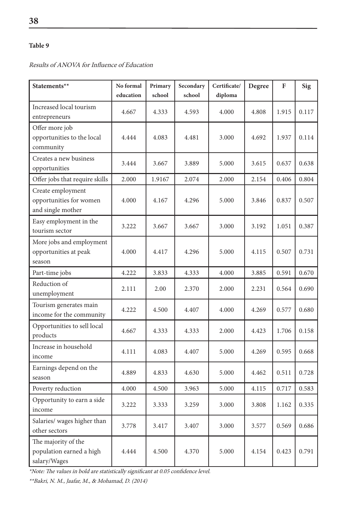#### **Statements**\*\* **No** No formal **education Primary school Secondary school Certificate/ diploma Degree F Sig** Increased local tourism entrepreneurs 4.667 | 4.333 | 4.593 | 4.000 | 4.808 | 1.915 | 0.117 Offer more job opportunities to the local community 4.444 | 4.083 | 4.481 | 3.000 | 4.692 | 1.937 | 0.114 Creates a new business opportunities 3.444 3.667 3.889 5.000 3.615 0.637 0.638 Offer jobs that require skills 2.000 1.9167 2.074 2.000 2.154 0.406 0.804 Create employment opportunities for women and single mother 4.000 4.167 4.296 5.000 3.846 0.837 0.507 Easy employment in the tourism sector 3.222 3.667 3.667 3.000 3.192 1.051 0.387 More jobs and employment opportunities at peak season 4.000 4.417 4.296 5.000 4.115 0.507 0.731 Part-time jobs 1 4.222 3.833 4.333 4.000 3.885 0.591 0.670 Reduction of unemployment 2.111 2.00 2.370 2.000 2.231 0.564 0.690 Tourism generates main income for the community  $\begin{bmatrix} 4.222 \\ 4.500 \\ 4.407 \end{bmatrix}$  4.000 4.269 0.577 0.680 Opportunities to sell local products  $\begin{bmatrix} 4.667 \\ 4.333 \end{bmatrix}$   $\begin{bmatrix} 4.333 \\ 4.333 \end{bmatrix}$   $\begin{bmatrix} 2.000 \\ 4.423 \end{bmatrix}$  1.706 0.158 Increase in household income 4.111 | 4.083 | 4.407 | 5.000 | 4.269 | 0.595 | 0.668 Earnings depend on the season 1.4.889 4.889 4.833 4.630 5.000 4.462 0.511 0.728 Poverty reduction 1 4.000 4.500 3.963 5.000 4.115 0.717 0.583 Opportunity to earn a side income 3.222 | 3.333 | 3.259 | 3.000 | 3.808 | 1.162 | 0.335 Salaries/ wages higher than other sectors 3.778 3.417 3.407 3.000 3.577 0.569 0.686 The majority of the population earned a high salary/Wages 4.444 4.500 4.370 5.000 4.154 0.423 0.791

Results of ANOVA for Influence of Education

\*Note: The values in bold are statistically significant at 0.05 confidence level.

\*\*Bakri, N. M., Jaafar, M., & Mohamad, D. (2014)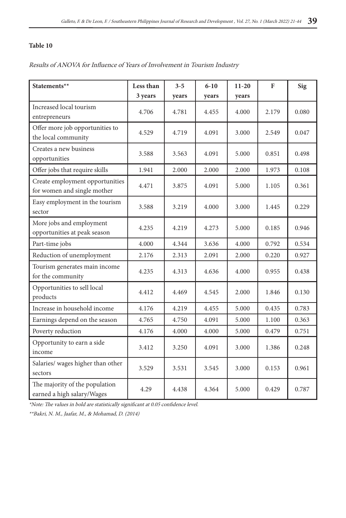# Results of ANOVA for Influence of Years of Involvement in Tourism Industry

| Statements**                                                   | Less than | $3 - 5$ | $6 - 10$ | $11 - 20$ | F     | <b>Sig</b> |
|----------------------------------------------------------------|-----------|---------|----------|-----------|-------|------------|
|                                                                | 3 years   | years   | years    | years     |       |            |
| Increased local tourism<br>entrepreneurs                       | 4.706     | 4.781   | 4.455    | 4.000     | 2.179 | 0.080      |
| Offer more job opportunities to<br>the local community         | 4.529     | 4.719   | 4.091    | 3.000     | 2.549 | 0.047      |
| Creates a new business<br>opportunities                        | 3.588     | 3.563   | 4.091    | 5.000     | 0.851 | 0.498      |
| Offer jobs that require skills                                 | 1.941     | 2.000   | 2.000    | 2.000     | 1.973 | 0.108      |
| Create employment opportunities<br>for women and single mother | 4.471     | 3.875   | 4.091    | 5.000     | 1.105 | 0.361      |
| Easy employment in the tourism<br>sector                       | 3.588     | 3.219   | 4.000    | 3.000     | 1.445 | 0.229      |
| More jobs and employment<br>opportunities at peak season       | 4.235     | 4.219   | 4.273    | 5.000     | 0.185 | 0.946      |
| Part-time jobs                                                 | 4.000     | 4.344   | 3.636    | 4.000     | 0.792 | 0.534      |
| Reduction of unemployment                                      | 2.176     | 2.313   | 2.091    | 2.000     | 0.220 | 0.927      |
| Tourism generates main income<br>for the community             | 4.235     | 4.313   | 4.636    | 4.000     | 0.955 | 0.438      |
| Opportunities to sell local<br>products                        | 4.412     | 4.469   | 4.545    | 2.000     | 1.846 | 0.130      |
| Increase in household income                                   | 4.176     | 4.219   | 4.455    | 5.000     | 0.435 | 0.783      |
| Earnings depend on the season                                  | 4.765     | 4.750   | 4.091    | 5.000     | 1.100 | 0.363      |
| Poverty reduction                                              | 4.176     | 4.000   | 4.000    | 5.000     | 0.479 | 0.751      |
| Opportunity to earn a side<br>income                           | 3.412     | 3.250   | 4.091    | 3.000     | 1.386 | 0.248      |
| Salaries/ wages higher than other<br>sectors                   | 3.529     | 3.531   | 3.545    | 3.000     | 0.153 | 0.961      |
| The majority of the population<br>earned a high salary/Wages   | 4.29      | 4.438   | 4.364    | 5.000     | 0.429 | 0.787      |

\*Note: The values in bold are statistically significant at 0.05 confidence level.

\*\*Bakri, N. M., Jaafar, M., & Mohamad, D. (2014)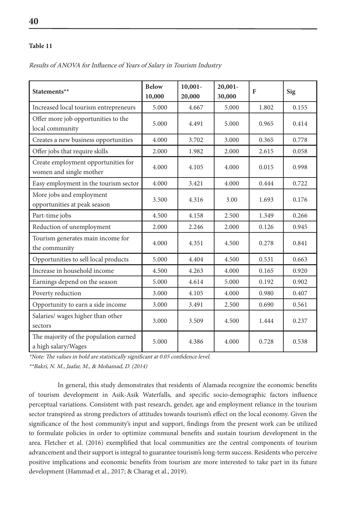| Statements**                                                   | <b>Below</b><br>10,000 | $10,001 -$<br>20,000 | $20,001 -$<br>30,000 | F     | Sig   |
|----------------------------------------------------------------|------------------------|----------------------|----------------------|-------|-------|
| Increased local tourism entrepreneurs                          | 5.000                  | 4.667                | 5.000                | 1.802 | 0.155 |
| Offer more job opportunities to the<br>local community         | 5.000                  | 4.491                | 5.000                | 0.965 | 0.414 |
| Creates a new business opportunities                           | 4.000                  | 3.702                | 3.000                | 0.365 | 0.778 |
| Offer jobs that require skills                                 | 2.000                  | 1.982                | 2.000                | 2.615 | 0.058 |
| Create employment opportunities for<br>women and single mother | 4.000                  | 4.105                | 4.000                | 0.015 | 0.998 |
| Easy employment in the tourism sector                          | 4.000                  | 3.421                | 4.000                | 0.444 | 0.722 |
| More jobs and employment<br>opportunities at peak season       | 3.500                  | 4.316                | 3.00                 | 1.693 | 0.176 |
| Part-time jobs                                                 | 4.500                  | 4.158                | 2.500                | 1.349 | 0.266 |
| Reduction of unemployment                                      | 2.000                  | 2.246                | 2.000                | 0.126 | 0.945 |
| Tourism generates main income for<br>the community             | 4.000                  | 4.351                | 4.500                | 0.278 | 0.841 |
| Opportunities to sell local products                           | 5.000                  | 4.404                | 4.500                | 0.531 | 0.663 |
| Increase in household income                                   | 4.500                  | 4.263                | 4.000                | 0.165 | 0.920 |
| Earnings depend on the season                                  | 5.000                  | 4.614                | 5.000                | 0.192 | 0.902 |
| Poverty reduction                                              | 3.000                  | 4.105                | 4.000                | 0.980 | 0.407 |
| Opportunity to earn a side income                              | 3.000                  | 3.491                | 2.500                | 0.690 | 0.561 |
| Salaries/ wages higher than other<br>sectors                   | 3.000                  | 3.509                | 4.500                | 1.444 | 0.237 |
| The majority of the population earned<br>a high salary/Wages   | 5.000                  | 4.386                | 4.000                | 0.728 | 0.538 |

Results of ANOVA for Influence of Years of Salary in Tourism Industry

\*Note: The values in bold are statistically significant at 0.05 confidence level.

\*\*Bakri, N. M., Jaafar, M., & Mohamad, D. (2014)

In general, this study demonstrates that residents of Alamada recognize the economic benefits of tourism development in Asik-Asik Waterfalls, and specific socio-demographic factors influence perceptual variations. Consistent with past research, gender, age and employment reliance in the tourism sector transpired as strong predictors of attitudes towards tourism's effect on the local economy. Given the significance of the host community's input and support, findings from the present work can be utilized to formulate policies in order to optimize communal benefits and sustain tourism development in the area. Fletcher et al. (2016) exemplified that local communities are the central components of tourism advancement and their support is integral to guarantee tourism's long-term success. Residents who perceive positive implications and economic benefits from tourism are more interested to take part in its future development (Hammad et al., 2017; & Charag et al., 2019).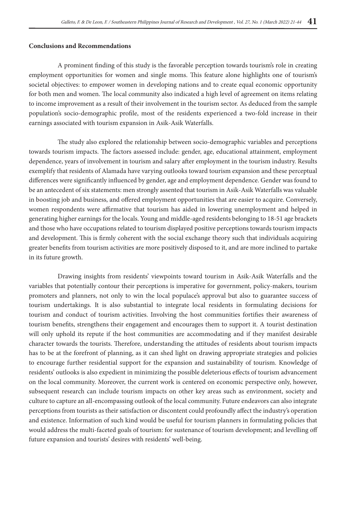#### **Conclusions and Recommendations**

A prominent finding of this study is the favorable perception towards tourism's role in creating employment opportunities for women and single moms. This feature alone highlights one of tourism's societal objectives: to empower women in developing nations and to create equal economic opportunity for both men and women. The local community also indicated a high level of agreement on items relating to income improvement as a result of their involvement in the tourism sector. As deduced from the sample population's socio-demographic profile, most of the residents experienced a two-fold increase in their earnings associated with tourism expansion in Asik-Asik Waterfalls.

The study also explored the relationship between socio-demographic variables and perceptions towards tourism impacts. The factors assessed include: gender, age, educational attainment, employment dependence, years of involvement in tourism and salary after employment in the tourism industry. Results exemplify that residents of Alamada have varying outlooks toward tourism expansion and these perceptual differences were significantly influenced by gender, age and employment dependence. Gender was found to be an antecedent of six statements: men strongly assented that tourism in Asik-Asik Waterfalls was valuable in boosting job and business, and offered employment opportunities that are easier to acquire. Conversely, women respondents were affirmative that tourism has aided in lowering unemployment and helped in generating higher earnings for the locals. Young and middle-aged residents belonging to 18-51 age brackets and those who have occupations related to tourism displayed positive perceptions towards tourism impacts and development. This is firmly coherent with the social exchange theory such that individuals acquiring greater benefits from tourism activities are more positively disposed to it, and are more inclined to partake in its future growth.

Drawing insights from residents' viewpoints toward tourism in Asik-Asik Waterfalls and the variables that potentially contour their perceptions is imperative for government, policy-makers, tourism promoters and planners, not only to win the local populace's approval but also to guarantee success of tourism undertakings. It is also substantial to integrate local residents in formulating decisions for tourism and conduct of tourism activities. Involving the host communities fortifies their awareness of tourism benefits, strengthens their engagement and encourages them to support it. A tourist destination will only uphold its repute if the host communities are accommodating and if they manifest desirable character towards the tourists. Therefore, understanding the attitudes of residents about tourism impacts has to be at the forefront of planning, as it can shed light on drawing appropriate strategies and policies to encourage further residential support for the expansion and sustainability of tourism. Knowledge of residents' outlooks is also expedient in minimizing the possible deleterious effects of tourism advancement on the local community. Moreover, the current work is centered on economic perspective only, however, subsequent research can include tourism impacts on other key areas such as environment, society and culture to capture an all-encompassing outlook of the local community. Future endeavors can also integrate perceptions from tourists as their satisfaction or discontent could profoundly affect the industry's operation and existence. Information of such kind would be useful for tourism planners in formulating policies that would address the multi-faceted goals of tourism: for sustenance of tourism development; and levelling off future expansion and tourists' desires with residents' well-being.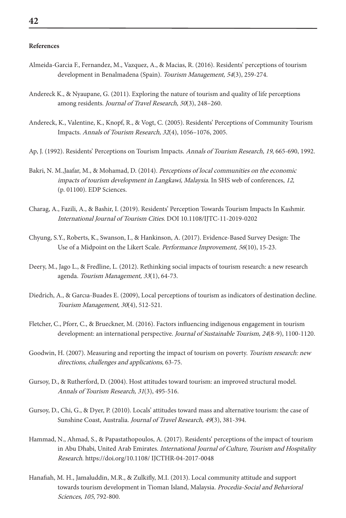#### **References**

- Almeida-Garcia F., Fernandez, M., Vazquez, A., & Macias, R. (2016). Residents' perceptions of tourism development in Benalmadena (Spain). Tourism Management, 54(3), 259-274.
- Andereck K., & Nyaupane, G. (2011). Exploring the nature of tourism and quality of life perceptions among residents. Journal of Travel Research, 50(3), 248–260.
- Andereck, K., Valentine, K., Knopf, R., & Vogt, C. (2005). Residents' Perceptions of Community Tourism Impacts. Annals of Tourism Research, 32(4), 1056–1076, 2005.
- Ap, J. (1992). Residents' Perceptions on Tourism Impacts. Annals of Tourism Research, 19, 665-690, 1992.
- Bakri, N. M.,Jaafar, M., & Mohamad, D. (2014). Perceptions of local communities on the economic impacts of tourism development in Langkawi, Malaysia. In SHS web of conferences, 12, (p. 01100). EDP Sciences.
- Charag, A., Fazili, A., & Bashir, I. (2019). Residents' Perception Towards Tourism Impacts In Kashmir. International Journal of Tourism Cities. DOI 10.1108/IJTC-11-2019-0202
- Chyung, S.Y., Roberts, K., Swanson, I., & Hankinson, A. (2017). Evidence-Based Survey Design: The Use of a Midpoint on the Likert Scale. Performance Improvement, 56(10), 15-23.
- Deery, M., Jago L., & Fredline, L. (2012). Rethinking social impacts of tourism research: a new research agenda. Tourism Management, 33(1), 64-73.
- Diedrich, A., & Garcıa-Buades E. (2009), Local perceptions of tourism as indicators of destination decline. Tourism Management, 30(4), 512-521.
- Fletcher, C., Pforr, C., & Brueckner, M. (2016). Factors influencing indigenous engagement in tourism development: an international perspective. Journal of Sustainable Tourism, 24(8-9), 1100-1120.
- Goodwin, H. (2007). Measuring and reporting the impact of tourism on poverty. Tourism research: new directions, challenges and applications, 63-75.
- Gursoy, D., & Rutherford, D. (2004). Host attitudes toward tourism: an improved structural model. Annals of Tourism Research, 31(3), 495-516.
- Gursoy, D., Chi, G., & Dyer, P. (2010). Locals' attitudes toward mass and alternative tourism: the case of Sunshine Coast, Australia. Journal of Travel Research, 49(3), 381-394.
- Hammad, N., Ahmad, S., & Papastathopoulos, A. (2017). Residents' perceptions of the impact of tourism in Abu Dhabi, United Arab Emirates. International Journal of Culture, Tourism and Hospitality Research. https://doi.org/10.1108/ IJCTHR-04-2017-0048
- Hanafiah, M. H., Jamaluddin, M.R., & Zulkifly, M.I. (2013). Local community attitude and support towards tourism development in Tioman Island, Malaysia. Procedia-Social and Behavioral Sciences, 105, 792-800.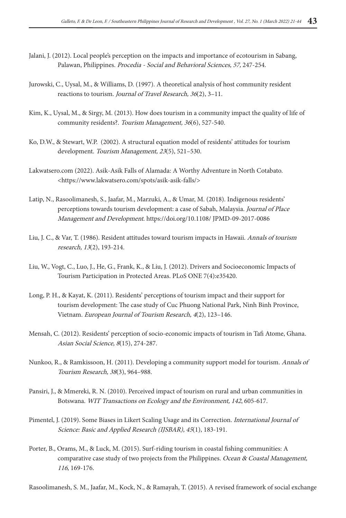- Jalani, J. (2012). Local people's perception on the impacts and importance of ecotourism in Sabang, Palawan, Philippines. Procedia - Social and Behavioral Sciences, 57, 247-254.
- Jurowski, C., Uysal, M., & Williams, D. (1997). A theoretical analysis of host community resident reactions to tourism. Journal of Travel Research, 36(2), 3–11.
- Kim, K., Uysal, M., & Sirgy, M. (2013). How does tourism in a community impact the quality of life of community residents?. Tourism Management, 36(6), 527-540.
- Ko, D.W., & Stewart, W.P. (2002). A structural equation model of residents' attitudes for tourism development. Tourism Management, 23(5), 521-530.
- Lakwatsero.com (2022). Asik-Asik Falls of Alamada: A Worthy Adventure in North Cotabato. <https://www.lakwatsero.com/spots/asik-asik-falls/>
- Latip, N., Rasoolimanesh, S., Jaafar, M., Marzuki, A., & Umar, M. (2018). Indigenous residents' perceptions towards tourism development: a case of Sabah, Malaysia. Journal of Place Management and Development. https://doi.org/10.1108/ JPMD-09-2017-0086
- Liu, J. C., & Var, T. (1986). Resident attitudes toward tourism impacts in Hawaii. Annals of tourism research, 13(2), 193-214.
- Liu, W., Vogt, C., Luo, J., He, G., Frank, K., & Liu, J. (2012). Drivers and Socioeconomic Impacts of Tourism Participation in Protected Areas. PLoS ONE 7(4):e35420.
- Long, P. H., & Kayat, K. (2011). Residents' perceptions of tourism impact and their support for tourism development: The case study of Cuc Phuong National Park, Ninh Binh Province, Vietnam. European Journal of Tourism Research, 4(2), 123–146.
- Mensah, C. (2012). Residents' perception of socio-economic impacts of tourism in Tafi Atome, Ghana. Asian Social Science, 8(15), 274-287.
- Nunkoo, R., & Ramkissoon, H. (2011). Developing a community support model for tourism. Annals of Tourism Research, 38(3), 964–988.
- Pansiri, J., & Mmereki, R. N. (2010). Perceived impact of tourism on rural and urban communities in Botswana. WIT Transactions on Ecology and the Environment, 142, 605-617.
- Pimentel, J. (2019). Some Biases in Likert Scaling Usage and its Correction. International Journal of Science: Basic and Applied Research (IJSBAR), 45(1), 183-191.
- Porter, B., Orams, M., & Luck, M. (2015). Surf-riding tourism in coastal fishing communities: A comparative case study of two projects from the Philippines. Ocean & Coastal Management, <sup>116</sup>, 169-176.

Rasoolimanesh, S. M., Jaafar, M., Kock, N., & Ramayah, T. (2015). A revised framework of social exchange